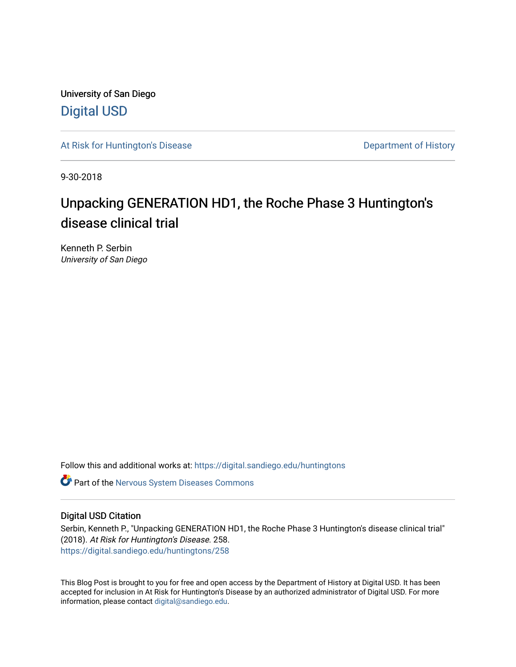University of San Diego [Digital USD](https://digital.sandiego.edu/)

[At Risk for Huntington's Disease](https://digital.sandiego.edu/huntingtons) **Department of History** Department of History

9-30-2018

# Unpacking GENERATION HD1, the Roche Phase 3 Huntington's disease clinical trial

Kenneth P. Serbin University of San Diego

Follow this and additional works at: [https://digital.sandiego.edu/huntingtons](https://digital.sandiego.edu/huntingtons?utm_source=digital.sandiego.edu%2Fhuntingtons%2F258&utm_medium=PDF&utm_campaign=PDFCoverPages)

**C** Part of the [Nervous System Diseases Commons](http://network.bepress.com/hgg/discipline/928?utm_source=digital.sandiego.edu%2Fhuntingtons%2F258&utm_medium=PDF&utm_campaign=PDFCoverPages)

## Digital USD Citation

Serbin, Kenneth P., "Unpacking GENERATION HD1, the Roche Phase 3 Huntington's disease clinical trial" (2018). At Risk for Huntington's Disease. 258. [https://digital.sandiego.edu/huntingtons/258](https://digital.sandiego.edu/huntingtons/258?utm_source=digital.sandiego.edu%2Fhuntingtons%2F258&utm_medium=PDF&utm_campaign=PDFCoverPages)

This Blog Post is brought to you for free and open access by the Department of History at Digital USD. It has been accepted for inclusion in At Risk for Huntington's Disease by an authorized administrator of Digital USD. For more information, please contact [digital@sandiego.edu.](mailto:digital@sandiego.edu)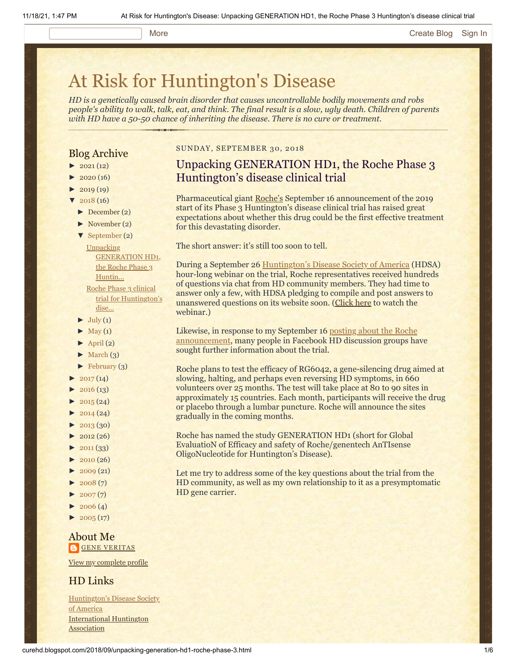### More **[Create Blog](https://www.blogger.com/home#create) [Sign In](https://www.blogger.com/)**

# [At Risk for Huntington's Disease](http://curehd.blogspot.com/)

*HD is a genetically caused brain disorder that causes uncontrollable bodily movements and robs people's ability to walk, talk, eat, and think. The final result is a slow, ugly death. Children of parents with HD have a 50-50 chance of inheriting the disease. There is no cure or treatment.*

## Blog Archive

- $\blacktriangleright$  [2021](http://curehd.blogspot.com/2021/)(12)
- $2020(16)$  $2020(16)$
- $2019(19)$  $2019(19)$
- $2018(16)$  $2018(16)$ 
	- [►](javascript:void(0)) [December](http://curehd.blogspot.com/2018/12/) (2)
	- [►](javascript:void(0)) [November](http://curehd.blogspot.com/2018/11/) (2)
	- [▼](javascript:void(0)) [September](http://curehd.blogspot.com/2018/09/) (2)

Unpacking [GENERATION HD1,](http://curehd.blogspot.com/2018/09/unpacking-generation-hd1-roche-phase-3.html) the Roche Phase 3 Huntin...

Roche Phase 3 clinical trial for [Huntington's](http://curehd.blogspot.com/2018/09/roche-phase-3-clinical-trial-for.html) dise...

- $\blacktriangleright$  [July](http://curehd.blogspot.com/2018/07/) (1)
- $\blacktriangleright$  [May](http://curehd.blogspot.com/2018/05/) (1)
- $\blacktriangleright$  [April](http://curehd.blogspot.com/2018/04/) (2)
- $\blacktriangleright$  [March](http://curehd.blogspot.com/2018/03/) (3)
- $\blacktriangleright$  [February](http://curehd.blogspot.com/2018/02/) (3)
- $\blacktriangleright$  [2017](http://curehd.blogspot.com/2017/) (14)
- $2016(13)$  $2016(13)$
- $2015(24)$  $2015(24)$
- $\blacktriangleright$  [2014](http://curehd.blogspot.com/2014/) (24)
- $\blacktriangleright$  [2013](http://curehd.blogspot.com/2013/) (30)
- $\blacktriangleright$  [2012](http://curehd.blogspot.com/2012/) (26)
- $\blacktriangleright$  [2011](http://curehd.blogspot.com/2011/) (33)
- $\blacktriangleright$  [2010](http://curehd.blogspot.com/2010/) (26)
- $\blacktriangleright$  [2009](http://curehd.blogspot.com/2009/) (21)
- $\blacktriangleright$  [2008](http://curehd.blogspot.com/2008/) $(7)$
- $\blacktriangleright$  [2007](http://curehd.blogspot.com/2007/) $(7)$
- $\blacktriangleright$  [2006](http://curehd.blogspot.com/2006/) (4)
- $\blacktriangleright$  [2005](http://curehd.blogspot.com/2005/) (17)

## About Me **GENE [VERITAS](https://www.blogger.com/profile/10911736205741688185)**

View my [complete](https://www.blogger.com/profile/10911736205741688185) profile

## HD Links

[Huntington's](http://www.hdsa.org/) Disease Society of America [International](http://www.huntington-assoc.com/) Huntington **Association** 

## SUNDAY, SEPTEMBER 30, 2018

## Unpacking GENERATION HD1, the Roche Phase 3 Huntington's disease clinical trial

Pharmaceutical giant [Roche's](https://www.roche.com/) September 16 announcement of the 2019 start of its Phase 3 Huntington's disease clinical trial has raised great expectations about whether this drug could be the first effective treatment for this devastating disorder.

The short answer: it's still too soon to tell.

During a September 26 [Huntington's Disease Society of America](http://www.hdsa.org/) (HDSA) hour-long webinar on the trial, Roche representatives received hundreds of questions via chat from HD community members. They had time to answer only a few, with HDSA pledging to compile and post answers to unanswered questions on its website soon. ([Click here](https://www.youtube.com/watch?v=gAi6X5-Z2xo) to watch the webinar.)

[Likewise, in response to my September 16 posting about the Roche](http://curehd.blogspot.com/2018/09/roche-phase-3-clinical-trial-for.html) announcement, many people in Facebook HD discussion groups have sought further information about the trial.

Roche plans to test the efficacy of RG6042, a gene-silencing drug aimed at slowing, halting, and perhaps even reversing HD symptoms, in 660 volunteers over 25 months. The test will take place at 80 to 90 sites in approximately 15 countries. Each month, participants will receive the drug or placebo through a lumbar puncture. Roche will announce the sites gradually in the coming months.

Roche has named the study GENERATION HD1 (short for Global EvaluatioN of Efficacy and safety of Roche/genentech AnTIsense OligoNucleotide for Huntington's Disease).

Let me try to address some of the key questions about the trial from the HD community, as well as my own relationship to it as a presymptomatic HD gene carrier.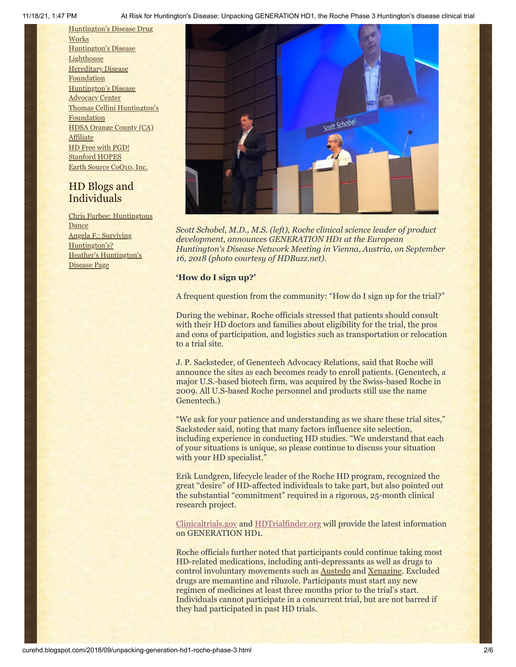11/18/21, 1:47 PM At Risk for Huntington's Disease: Unpacking GENERATION HD1, the Roche Phase 3 Huntington's disease clinical trial

[Huntington's](http://hddrugworks.org/) Disease Drug **Works** [Huntington's](http://www.hdlighthouse.org/) Disease **Lighthouse Hereditary Disease [Foundation](http://www.hdfoundation.org/)** [Huntington's](http://www.hdac.org/) Disease Advocacy Center Thomas [Cellini Huntington's](http://www.ourtchfoundation.org/) Foundation HDSA Orange County (CA) [Affiliate](http://www.hdsaoc.org/) HD Free with [PGD!](http://www.hdfreewithpgd.com/) [Stanford](http://www.stanford.edu/group/hopes/) HOPES Earth Source [CoQ10,](http://www.escoq10.com/) Inc.

## HD Blogs and Individuals

Chris Furbee: [Huntingtons](http://www.huntingtonsdance.org/) **Dance** Angela F.: Surviving [Huntington's?](http://survivinghuntingtons.blogspot.com/) Heather's [Huntington's](http://heatherdugdale.angelfire.com/) Disease Page



*Scott Schobel, M.D., M.S. (left), Roche clinical science leader of product development, announces GENERATION HD1 at the European Huntington's Disease Network Meeting in Vienna, Austria, on September 16, 2018 (photo courtesy of HDBuzz.net).*

## **'How do I sign up?'**

A frequent question from the community: "How do I sign up for the trial?"

During the webinar, Roche officials stressed that patients should consult with their HD doctors and families about eligibility for the trial, the pros and cons of participation, and logistics such as transportation or relocation to a trial site.

J. P. Sacksteder, of Genentech Advocacy Relations, said that Roche will announce the sites as each becomes ready to enroll patients. (Genentech, a major U.S.-based biotech firm, was acquired by the Swiss-based Roche in 2009. All U.S-based Roche personnel and products still use the name Genentech.)

"We ask for your patience and understanding as we share these trial sites," Sacksteder said, noting that many factors influence site selection, including experience in conducting HD studies. "We understand that each of your situations is unique, so please continue to discuss your situation with your HD specialist."

Erik Lundgren, lifecycle leader of the Roche HD program, recognized the great "desire" of HD-affected individuals to take part, but also pointed out the substantial "commitment" required in a rigorous, 25-month clinical research project.

[Clinicaltrials.gov](http://clinicaltrials.gov/) and [HDTrialfinder.org](http://hdtrialfinder.org/) will provide the latest information on GENERATION HD1.

Roche officials further noted that participants could continue taking most HD-related medications, including anti-depressants as well as drugs to control involuntary movements such as [Austedo](https://austedo.com/) and [Xenazine.](https://www.xenazineusa.com/) Excluded drugs are memantine and riluzole. Participants must start any new regimen of medicines at least three months prior to the trial's start. Individuals cannot participate in a concurrent trial, but are not barred if they had participated in past HD trials.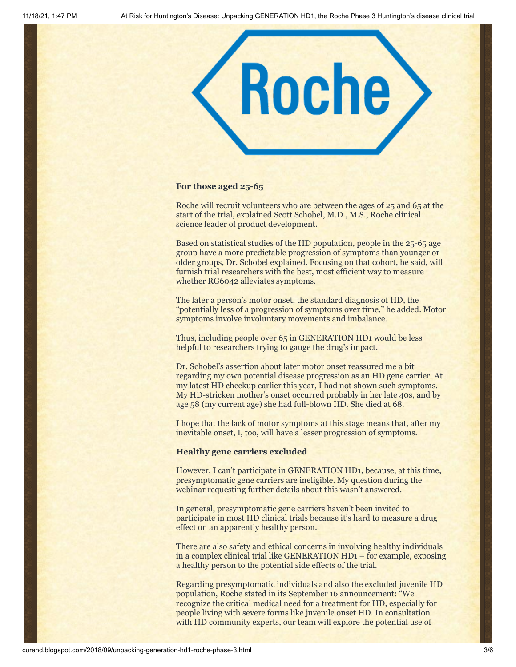

## **For those aged 25-65**

Roche will recruit volunteers who are between the ages of 25 and 65 at the start of the trial, explained Scott Schobel, M.D., M.S., Roche clinical science leader of product development.

Based on statistical studies of the HD population, people in the 25-65 age group have a more predictable progression of symptoms than younger or older groups, Dr. Schobel explained. Focusing on that cohort, he said, will furnish trial researchers with the best, most efficient way to measure whether RG6042 alleviates symptoms.

The later a person's motor onset, the standard diagnosis of HD, the "potentially less of a progression of symptoms over time," he added. Motor symptoms involve involuntary movements and imbalance.

Thus, including people over 65 in GENERATION HD1 would be less helpful to researchers trying to gauge the drug's impact.

Dr. Schobel's assertion about later motor onset reassured me a bit regarding my own potential disease progression as an HD gene carrier. At my latest HD checkup earlier this year, I had not shown such symptoms. My HD-stricken mother's onset occurred probably in her late 40s, and by age 58 (my current age) she had full-blown HD. She died at 68.

I hope that the lack of motor symptoms at this stage means that, after my inevitable onset, I, too, will have a lesser progression of symptoms.

### **Healthy gene carriers excluded**

However, I can't participate in GENERATION HD1, because, at this time, presymptomatic gene carriers are ineligible. My question during the webinar requesting further details about this wasn't answered.

In general, presymptomatic gene carriers haven't been invited to participate in most HD clinical trials because it's hard to measure a drug effect on an apparently healthy person.

There are also safety and ethical concerns in involving healthy individuals in a complex clinical trial like GENERATION HD1 – for example, exposing a healthy person to the potential side effects of the trial.

Regarding presymptomatic individuals and also the excluded juvenile HD population, Roche stated in its September 16 announcement: "We recognize the critical medical need for a treatment for HD, especially for people living with severe forms like juvenile onset HD. In consultation with HD community experts, our team will explore the potential use of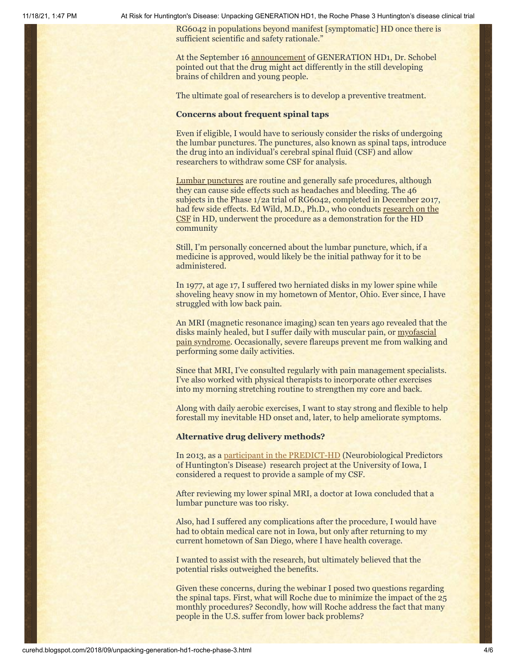11/18/21, 1:47 PM At Risk for Huntington's Disease: Unpacking GENERATION HD1, the Roche Phase 3 Huntington's disease clinical trial

RG6042 in populations beyond manifest [symptomatic] HD once there is sufficient scientific and safety rationale."

At the September 16 [announcement](https://twitter.com/HDBuzzFeed) of GENERATION HD1, Dr. Schobel pointed out that the drug might act differently in the still developing brains of children and young people.

The ultimate goal of researchers is to develop a preventive treatment.

## **Concerns about frequent spinal taps**

Even if eligible, I would have to seriously consider the risks of undergoing the lumbar punctures. The punctures, also known as spinal taps, introduce the drug into an individual's cerebral spinal fluid (CSF) and allow researchers to withdraw some CSF for analysis.

[Lumbar punctures](https://www.mayoclinic.org/tests-procedures/lumbar-puncture/about/pac-20394631) are routine and generally safe procedures, although they can cause side effects such as headaches and bleeding. The 46 subjects in the Phase 1/2a trial of RG6042, completed in December 2017, [had few side effects. Ed Wild, M.D., Ph.D., who conducts research on the](https://www.youtube.com/watch?v=HEnFzcST_Co) CSF in HD, underwent the procedure as a demonstration for the HD community

Still, I'm personally concerned about the lumbar puncture, which, if a medicine is approved, would likely be the initial pathway for it to be administered.

In 1977, at age 17, I suffered two herniated disks in my lower spine while shoveling heavy snow in my hometown of Mentor, Ohio. Ever since, I have struggled with low back pain.

An MRI (magnetic resonance imaging) scan ten years ago revealed that the [disks mainly healed, but I suffer daily with muscular pain, or myofascial](https://www.mayoclinic.org/diseases-conditions/myofascial-pain-syndrome/symptoms-causes/syc-20375444) pain syndrome. Occasionally, severe flareups prevent me from walking and performing some daily activities.

Since that MRI, I've consulted regularly with pain management specialists. I've also worked with physical therapists to incorporate other exercises into my morning stretching routine to strengthen my core and back.

Along with daily aerobic exercises, I want to stay strong and flexible to help forestall my inevitable HD onset and, later, to help ameliorate symptoms.

## **Alternative drug delivery methods?**

In 2013, as a [participant in the PREDICT-HD](http://curehd.blogspot.com/2013/08/predicting-huntingtons-disease-in.html) (Neurobiological Predictors of Huntington's Disease) research project at the University of Iowa, I considered a request to provide a sample of my CSF.

After reviewing my lower spinal MRI, a doctor at Iowa concluded that a lumbar puncture was too risky.

Also, had I suffered any complications after the procedure, I would have had to obtain medical care not in Iowa, but only after returning to my current hometown of San Diego, where I have health coverage.

I wanted to assist with the research, but ultimately believed that the potential risks outweighed the benefits.

Given these concerns, during the webinar I posed two questions regarding the spinal taps. First, what will Roche due to minimize the impact of the 25 monthly procedures? Secondly, how will Roche address the fact that many people in the U.S. suffer from lower back problems?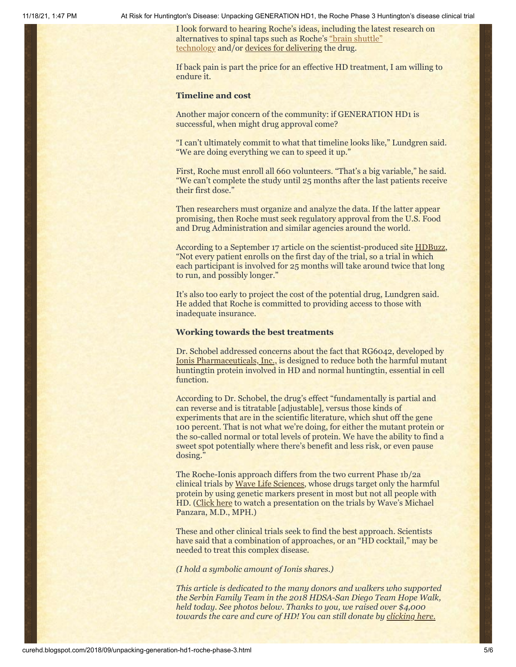11/18/21, 1:47 PM At Risk for Huntington's Disease: Unpacking GENERATION HD1, the Roche Phase 3 Huntington's disease clinical trial

I look forward to hearing Roche's ideas, including the latest research on [alternatives to spinal taps such as Roche's "brain shuttle"](http://curehd.blogspot.com/2013/04/a-key-new-ally-in-search-for.html) technology and/or [devices for delivering](https://twitter.com/HDBuzzFeed) the drug.

If back pain is part the price for an effective HD treatment, I am willing to endure it.

## **Timeline and cost**

Another major concern of the community: if GENERATION HD1 is successful, when might drug approval come?

"I can't ultimately commit to what that timeline looks like," Lundgren said. "We are doing everything we can to speed it up."

First, Roche must enroll all 660 volunteers. "That's a big variable," he said. "We can't complete the study until 25 months after the last patients receive their first dose."

Then researchers must organize and analyze the data. If the latter appear promising, then Roche must seek regulatory approval from the U.S. Food and Drug Administration and similar agencies around the world.

According to a September 17 article on the scientist-produced site [HDBuzz](https://en.hdbuzz.net/263), "Not every patient enrolls on the first day of the trial, so a trial in which each participant is involved for 25 months will take around twice that long to run, and possibly longer."

It's also too early to project the cost of the potential drug, Lundgren said. He added that Roche is committed to providing access to those with inadequate insurance.

## **Working towards the best treatments**

Dr. Schobel addressed concerns about the fact that RG6042, developed by [Ionis Pharmaceuticals, Inc.,](http://www.ionispharma.com/) is designed to reduce both the harmful mutant huntingtin protein involved in HD and normal huntingtin, essential in cell function.

According to Dr. Schobel, the drug's effect "fundamentally is partial and can reverse and is titratable [adjustable], versus those kinds of experiments that are in the scientific literature, which shut off the gene 100 percent. That is not what we're doing, for either the mutant protein or the so-called normal or total levels of protein. We have the ability to find a sweet spot potentially where there's benefit and less risk, or even pause dosing."

The Roche-Ionis approach differs from the two current Phase 1b/2a clinical trials by [Wave Life Sciences](https://www.wavelifesciences.com/pipeline/), whose drugs target only the harmful protein by using genetic markers present in most but not all people with HD. ([Click here](https://vimeo.com/260153345) to watch a presentation on the trials by Wave's Michael Panzara, M.D., MPH.)

These and other clinical trials seek to find the best approach. Scientists have said that a combination of approaches, or an "HD cocktail," may be needed to treat this complex disease.

*(I hold a symbolic amount of Ionis shares.)*

*This article is dedicated to the many donors and walkers who supported the Serbin Family Team in the 2018 HDSA-San Diego Team Hope Walk, held today. See photos below. Thanks to you, we raised over \$4,000 towards the care and cure of HD! You can still donate by [clicking here.](https://hdsa.donordrive.com/index.cfm?fuseaction=donorDrive.team&teamID=9047)*